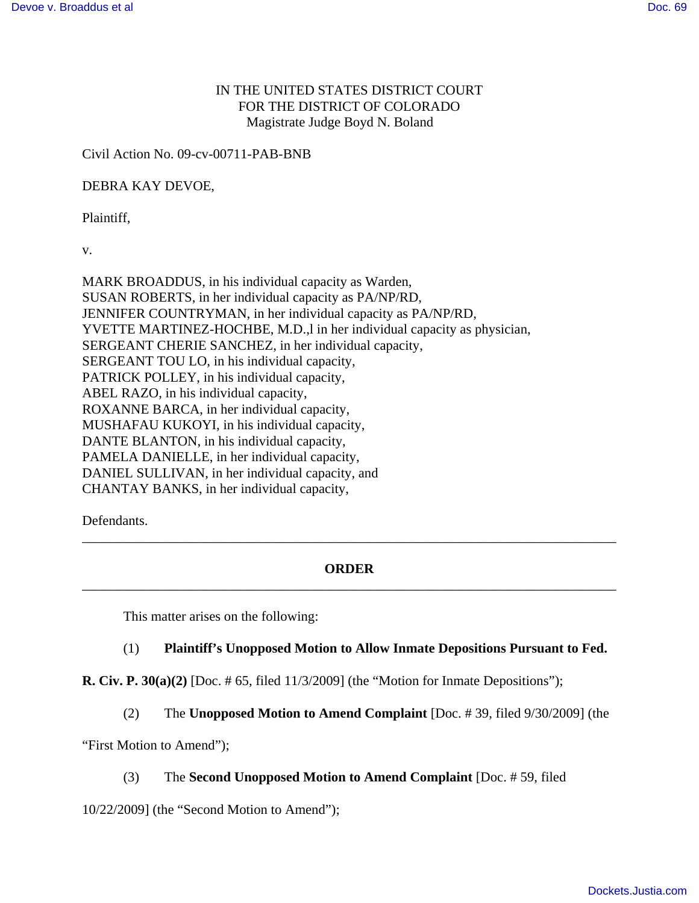# IN THE UNITED STATES DISTRICT COURT FOR THE DISTRICT OF COLORADO Magistrate Judge Boyd N. Boland

Civil Action No. 09-cv-00711-PAB-BNB

DEBRA KAY DEVOE,

Plaintiff,

v.

MARK BROADDUS, in his individual capacity as Warden, SUSAN ROBERTS, in her individual capacity as PA/NP/RD, JENNIFER COUNTRYMAN, in her individual capacity as PA/NP/RD, YVETTE MARTINEZ-HOCHBE, M.D.,l in her individual capacity as physician, SERGEANT CHERIE SANCHEZ, in her individual capacity, SERGEANT TOU LO, in his individual capacity, PATRICK POLLEY, in his individual capacity, ABEL RAZO, in his individual capacity, ROXANNE BARCA, in her individual capacity, MUSHAFAU KUKOYI, in his individual capacity, DANTE BLANTON, in his individual capacity, PAMELA DANIELLE, in her individual capacity, DANIEL SULLIVAN, in her individual capacity, and CHANTAY BANKS, in her individual capacity,

Defendants.

## **ORDER** \_\_\_\_\_\_\_\_\_\_\_\_\_\_\_\_\_\_\_\_\_\_\_\_\_\_\_\_\_\_\_\_\_\_\_\_\_\_\_\_\_\_\_\_\_\_\_\_\_\_\_\_\_\_\_\_\_\_\_\_\_\_\_\_\_\_\_\_\_\_\_\_\_\_\_\_\_\_

\_\_\_\_\_\_\_\_\_\_\_\_\_\_\_\_\_\_\_\_\_\_\_\_\_\_\_\_\_\_\_\_\_\_\_\_\_\_\_\_\_\_\_\_\_\_\_\_\_\_\_\_\_\_\_\_\_\_\_\_\_\_\_\_\_\_\_\_\_\_\_\_\_\_\_\_\_\_

This matter arises on the following:

### (1) **Plaintiff's Unopposed Motion to Allow Inmate Depositions Pursuant to Fed.**

**R. Civ. P. 30(a)(2)** [Doc. # 65, filed 11/3/2009] (the "Motion for Inmate Depositions");

(2) The **Unopposed Motion to Amend Complaint** [Doc. # 39, filed 9/30/2009] (the

"First Motion to Amend");

### (3) The **Second Unopposed Motion to Amend Complaint** [Doc. # 59, filed

10/22/2009] (the "Second Motion to Amend");